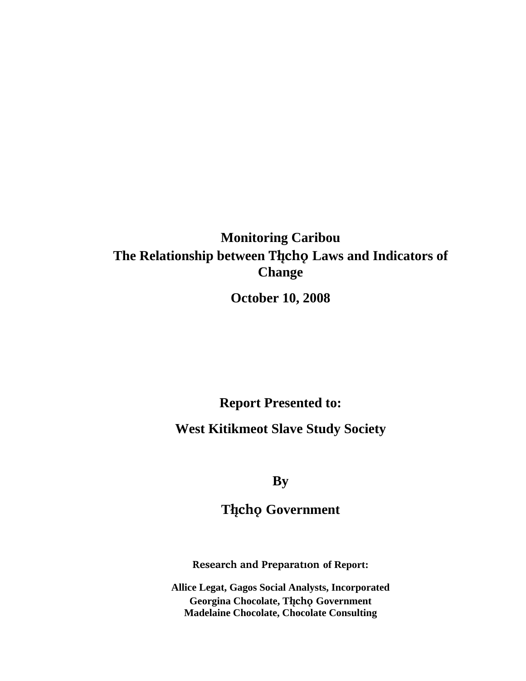# **Monitoring Caribou The Relationship between Tåîchô Laws and Indicators of Change**

**October 10, 2008** 

**Report Presented to:** 

**West Kitikmeot Slave Study Society** 

**By** 

**Tåîchô Government** 

**Research and Preparation of Report:** 

**Allice Legat, Gagos Social Analysts, Incorporated Georgina Chocolate, Tåîchô Government Madelaine Chocolate, Chocolate Consulting**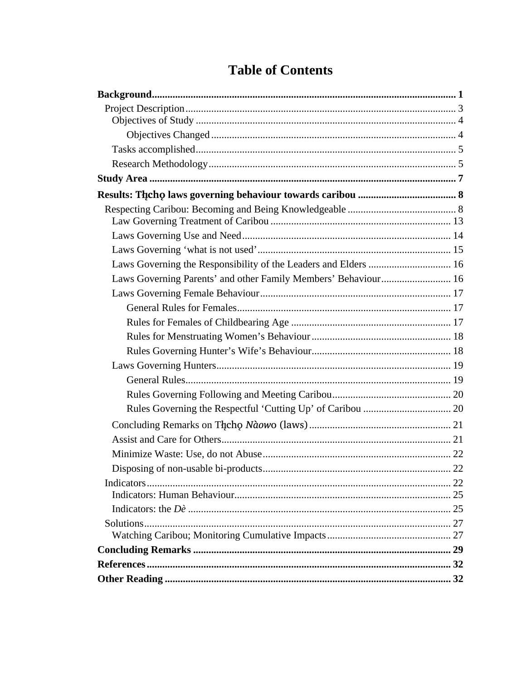| Laws Governing the Responsibility of the Leaders and Elders  16 |  |
|-----------------------------------------------------------------|--|
| Laws Governing Parents' and other Family Members' Behaviour 16  |  |
|                                                                 |  |
|                                                                 |  |
|                                                                 |  |
|                                                                 |  |
|                                                                 |  |
|                                                                 |  |
|                                                                 |  |
|                                                                 |  |
|                                                                 |  |
|                                                                 |  |
|                                                                 |  |
|                                                                 |  |
|                                                                 |  |
|                                                                 |  |
|                                                                 |  |
|                                                                 |  |
|                                                                 |  |
|                                                                 |  |
|                                                                 |  |
|                                                                 |  |
|                                                                 |  |

# **Table of Contents**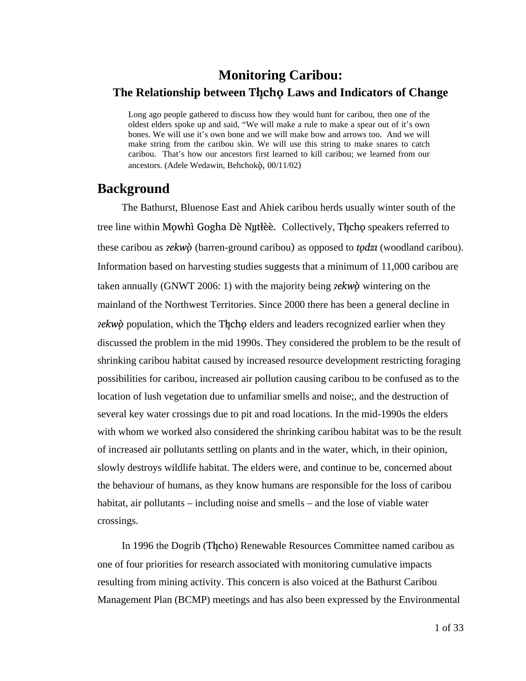# **Monitoring Caribou: The Relationship between Tåîchô Laws and Indicators of Change**

Long ago people gathered to discuss how they would hunt for caribou, then one of the oldest elders spoke up and said, "We will make a rule to make a spear out of it's own bones. We will use it's own bone and we will make bow and arrows too. And we will make string from the caribou skin. We will use this string to make snares to catch caribou. That's how our ancestors first learned to kill caribou; we learned from our ancestors. (Adele Wedawin, Behchokö, 00/11/02)

## **Background**

The Bathurst, Bluenose East and Ahiek caribou herds usually winter south of the tree line within Mowhì Gogha Dè Nµtlèè. Collectively, Thcho speakers referred to these caribou as *æekwö* (barren-ground caribou) as opposed to *tôdzi* (woodland caribou). Information based on harvesting studies suggests that a minimum of 11,000 caribou are taken annually (GNWT 2006: 1) with the majority being *æekwö* wintering on the mainland of the Northwest Territories. Since 2000 there has been a general decline in *zekwo* population, which the Theore elders and leaders recognized earlier when they discussed the problem in the mid 1990s. They considered the problem to be the result of shrinking caribou habitat caused by increased resource development restricting foraging possibilities for caribou, increased air pollution causing caribou to be confused as to the location of lush vegetation due to unfamiliar smells and noise;, and the destruction of several key water crossings due to pit and road locations. In the mid-1990s the elders with whom we worked also considered the shrinking caribou habitat was to be the result of increased air pollutants settling on plants and in the water, which, in their opinion, slowly destroys wildlife habitat. The elders were, and continue to be, concerned about the behaviour of humans, as they know humans are responsible for the loss of caribou habitat, air pollutants – including noise and smells – and the lose of viable water crossings.

In 1996 the Dogrib (Thcho) Renewable Resources Committee named caribou as one of four priorities for research associated with monitoring cumulative impacts resulting from mining activity. This concern is also voiced at the Bathurst Caribou Management Plan (BCMP) meetings and has also been expressed by the Environmental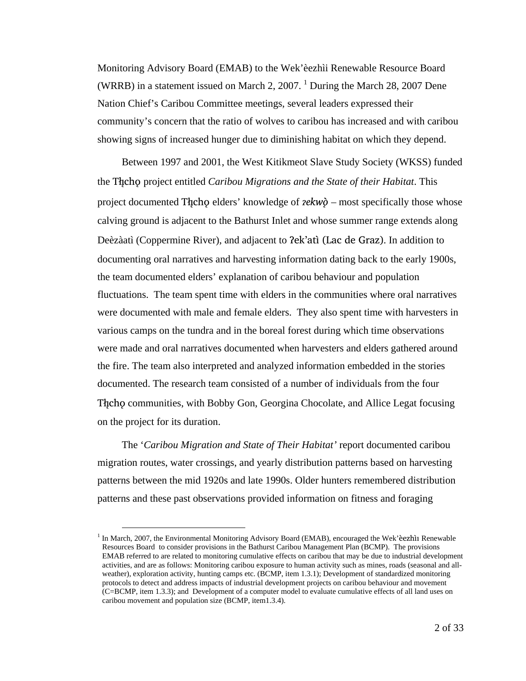Monitoring Advisory Board (EMAB) to the Wek'èezhìi Renewable Resource Board (WRRB) in a statement issued on March 2, 2007.  $1$  During the March 28, 2007 Dene Nation Chief's Caribou Committee meetings, several leaders expressed their community's concern that the ratio of wolves to caribou has increased and with caribou showing signs of increased hunger due to diminishing habitat on which they depend.

Between 1997 and 2001, the West Kitikmeot Slave Study Society (WKSS) funded the Thicho project entitled *Caribou Migrations and the State of their Habitat*. This project documented The centers' knowledge of *zekwo* – most specifically those whose calving ground is adjacent to the Bathurst Inlet and whose summer range extends along Deèzàatì (Coppermine River), and adjacent to ?ek'atì (Lac de Graz). In addition to documenting oral narratives and harvesting information dating back to the early 1900s, the team documented elders' explanation of caribou behaviour and population fluctuations. The team spent time with elders in the communities where oral narratives were documented with male and female elders. They also spent time with harvesters in various camps on the tundra and in the boreal forest during which time observations were made and oral narratives documented when harvesters and elders gathered around the fire. The team also interpreted and analyzed information embedded in the stories documented. The research team consisted of a number of individuals from the four The communities, with Bobby Gon, Georgina Chocolate, and Allice Legat focusing on the project for its duration.

The '*Caribou Migration and State of Their Habitat'* report documented caribou migration routes, water crossings, and yearly distribution patterns based on harvesting patterns between the mid 1920s and late 1990s. Older hunters remembered distribution patterns and these past observations provided information on fitness and foraging

<sup>&</sup>lt;sup>1</sup> In March, 2007, the Environmental Monitoring Advisory Board (EMAB), encouraged the Wek'èezhìi Renewable Resources Board to consider provisions in the Bathurst Caribou Management Plan (BCMP). The provisions EMAB referred to are related to monitoring cumulative effects on caribou that may be due to industrial development activities, and are as follows: Monitoring caribou exposure to human activity such as mines, roads (seasonal and allweather), exploration activity, hunting camps etc. (BCMP, item 1.3.1); Development of standardized monitoring protocols to detect and address impacts of industrial development projects on caribou behaviour and movement (C=BCMP, item 1.3.3); and Development of a computer model to evaluate cumulative effects of all land uses on caribou movement and population size (BCMP, item1.3.4).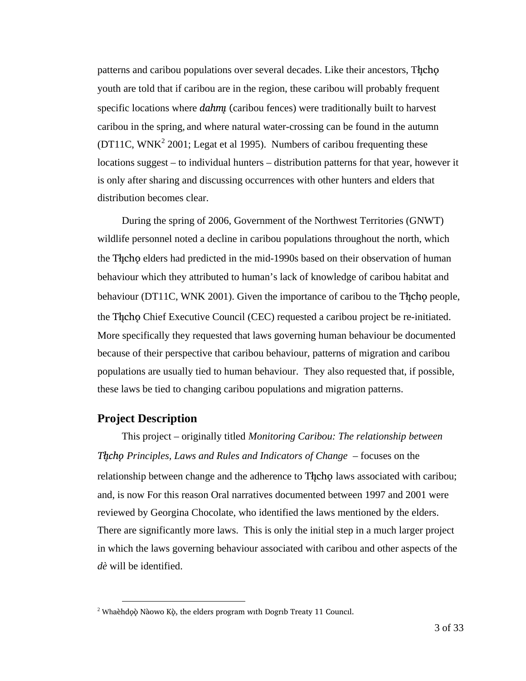patterns and caribou populations over several decades. Like their ancestors, Theorem youth are told that if caribou are in the region, these caribou will probably frequent specific locations where *dahmµ* (caribou fences) were traditionally built to harvest caribou in the spring, and where natural water-crossing can be found in the autumn  $(DT11C, WNK<sup>2</sup> 2001; Legat et al 1995).$  Numbers of caribou frequenting these locations suggest – to individual hunters – distribution patterns for that year, however it is only after sharing and discussing occurrences with other hunters and elders that distribution becomes clear.

During the spring of 2006, Government of the Northwest Territories (GNWT) wildlife personnel noted a decline in caribou populations throughout the north, which the Theoregian elders had predicted in the mid-1990s based on their observation of human behaviour which they attributed to human's lack of knowledge of caribou habitat and behaviour (DT11C, WNK 2001). Given the importance of caribou to the Theore people, the Thcho Chief Executive Council (CEC) requested a caribou project be re-initiated. More specifically they requested that laws governing human behaviour be documented because of their perspective that caribou behaviour, patterns of migration and caribou populations are usually tied to human behaviour. They also requested that, if possible, these laws be tied to changing caribou populations and migration patterns.

#### **Project Description**

This project – originally titled *Monitoring Caribou: The relationship between Tåîchô Principles, Laws and Rules and Indicators of Change* – focuses on the relationship between change and the adherence to The change laws associated with caribou; and, is now For this reason Oral narratives documented between 1997 and 2001 were reviewed by Georgina Chocolate, who identified the laws mentioned by the elders. There are significantly more laws. This is only the initial step in a much larger project in which the laws governing behaviour associated with caribou and other aspects of the *dè* will be identified.

 $\frac{1}{2}$ Whaèhdǫò Nàowo Kò, the elders program with Dogrib Treaty 11 Council.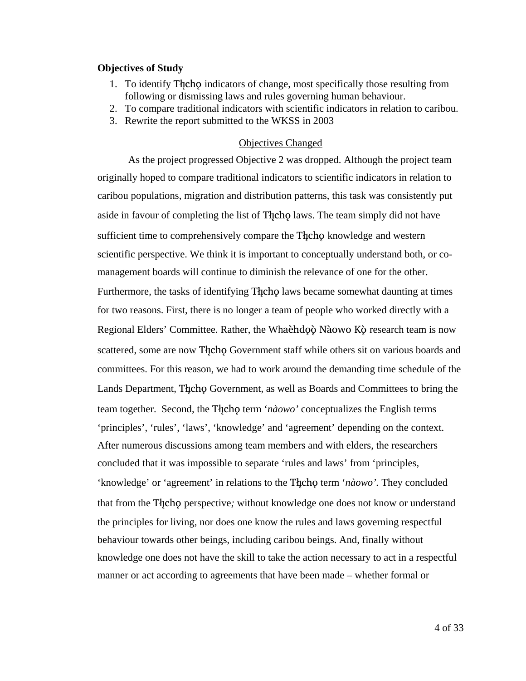#### **Objectives of Study**

- 1. To identify Theor indicators of change, most specifically those resulting from following or dismissing laws and rules governing human behaviour.
- 2. To compare traditional indicators with scientific indicators in relation to caribou.
- 3. Rewrite the report submitted to the WKSS in 2003

#### Objectives Changed

 As the project progressed Objective 2 was dropped. Although the project team originally hoped to compare traditional indicators to scientific indicators in relation to caribou populations, migration and distribution patterns, this task was consistently put aside in favour of completing the list of Thcho laws. The team simply did not have sufficient time to comprehensively compare the Thcho knowledge and western scientific perspective. We think it is important to conceptually understand both, or comanagement boards will continue to diminish the relevance of one for the other. Furthermore, the tasks of identifying Thcho laws became somewhat daunting at times for two reasons. First, there is no longer a team of people who worked directly with a Regional Elders' Committee. Rather, the Whaèhdoò Nàowo Kò research team is now scattered, some are now Thcho Government staff while others sit on various boards and committees. For this reason, we had to work around the demanding time schedule of the Lands Department, The ho Government, as well as Boards and Committees to bring the team together. Second, the Thcho term '*nàowo'* conceptualizes the English terms 'principles', 'rules', 'laws', 'knowledge' and 'agreement' depending on the context. After numerous discussions among team members and with elders, the researchers concluded that it was impossible to separate 'rules and laws' from 'principles, 'knowledge' or 'agreement' in relations to the Thcho term '*nàowo*'. They concluded that from the Theore perspective, without knowledge one does not know or understand the principles for living, nor does one know the rules and laws governing respectful behaviour towards other beings, including caribou beings. And, finally without knowledge one does not have the skill to take the action necessary to act in a respectful manner or act according to agreements that have been made – whether formal or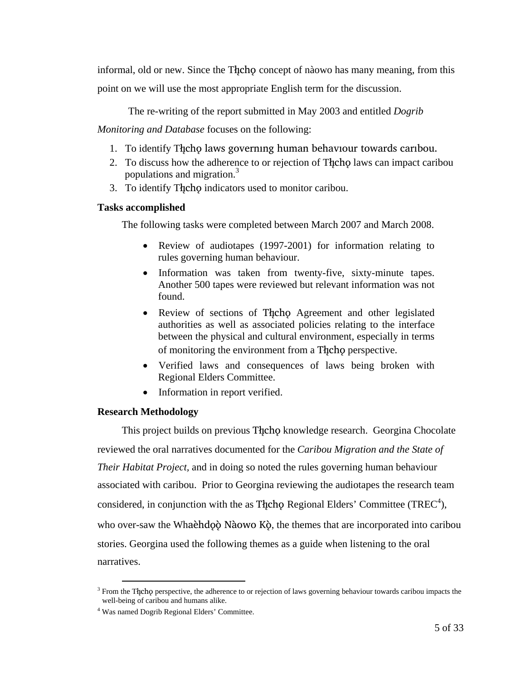informal, old or new. Since the Theorem concept of nàowo has many meaning, from this point on we will use the most appropriate English term for the discussion.

The re-writing of the report submitted in May 2003 and entitled *Dogrib* 

*Monitoring and Database* focuses on the following:

- 1. To identify The hold aws governing human behaviour towards caribou.
- 2. To discuss how the adherence to or rejection of The changer can impact caribou populations and migration.<sup>3</sup>
- 3. To identify The cho indicators used to monitor caribou.

#### **Tasks accomplished**

The following tasks were completed between March 2007 and March 2008.

- Review of audiotapes (1997-2001) for information relating to rules governing human behaviour.
- Information was taken from twenty-five, sixty-minute tapes. Another 500 tapes were reviewed but relevant information was not found.
- Review of sections of Thcho Agreement and other legislated authorities as well as associated policies relating to the interface between the physical and cultural environment, especially in terms of monitoring the environment from a Theop perspective.
- Verified laws and consequences of laws being broken with Regional Elders Committee.
- Information in report verified.

#### **Research Methodology**

This project builds on previous Theo knowledge research. Georgina Chocolate reviewed the oral narratives documented for the *Caribou Migration and the State of Their Habitat Project,* and in doing so noted the rules governing human behaviour associated with caribou. Prior to Georgina reviewing the audiotapes the research team considered, in conjunction with the as The choich Regional Elders' Committee (TREC<sup>4</sup>), who over-saw the Whaèhdo Nàowo Kò, the themes that are incorporated into caribou stories. Georgina used the following themes as a guide when listening to the oral narratives.

<sup>&</sup>lt;sup>3</sup> From the Thcho perspective, the adherence to or rejection of laws governing behaviour towards caribou impacts the well-being of caribou and humans alike.

<sup>4</sup> Was named Dogrib Regional Elders' Committee.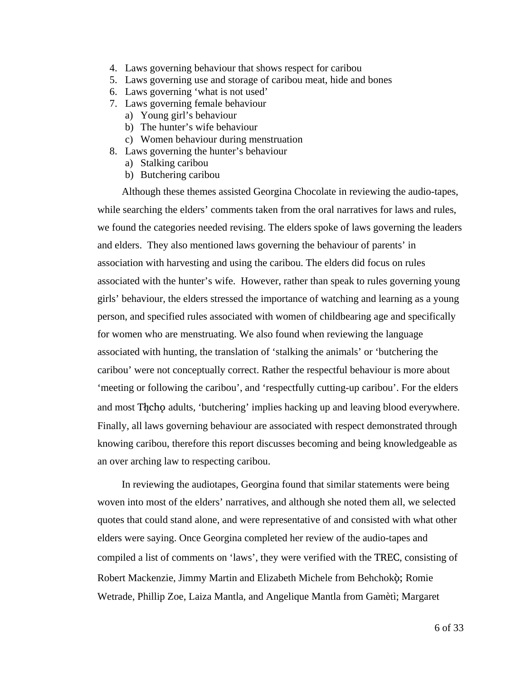- 4. Laws governing behaviour that shows respect for caribou
- 5. Laws governing use and storage of caribou meat, hide and bones
- 6. Laws governing 'what is not used'
- 7. Laws governing female behaviour
	- a) Young girl's behaviour
	- b) The hunter's wife behaviour
	- c) Women behaviour during menstruation
- 8. Laws governing the hunter's behaviour
	- a) Stalking caribou
	- b) Butchering caribou

Although these themes assisted Georgina Chocolate in reviewing the audio-tapes, while searching the elders' comments taken from the oral narratives for laws and rules, we found the categories needed revising. The elders spoke of laws governing the leaders and elders. They also mentioned laws governing the behaviour of parents' in association with harvesting and using the caribou. The elders did focus on rules associated with the hunter's wife. However, rather than speak to rules governing young girls' behaviour, the elders stressed the importance of watching and learning as a young person, and specified rules associated with women of childbearing age and specifically for women who are menstruating. We also found when reviewing the language associated with hunting, the translation of 'stalking the animals' or 'butchering the caribou' were not conceptually correct. Rather the respectful behaviour is more about 'meeting or following the caribou', and 'respectfully cutting-up caribou'. For the elders and most The cho adults, 'butchering' implies hacking up and leaving blood everywhere. Finally, all laws governing behaviour are associated with respect demonstrated through knowing caribou, therefore this report discusses becoming and being knowledgeable as an over arching law to respecting caribou.

In reviewing the audiotapes, Georgina found that similar statements were being woven into most of the elders' narratives, and although she noted them all, we selected quotes that could stand alone, and were representative of and consisted with what other elders were saying. Once Georgina completed her review of the audio-tapes and compiled a list of comments on 'laws', they were verified with the TREC, consisting of Robert Mackenzie, Jimmy Martin and Elizabeth Michele from Behchokö; Romie Wetrade, Phillip Zoe, Laiza Mantla, and Angelique Mantla from Gamètì; Margaret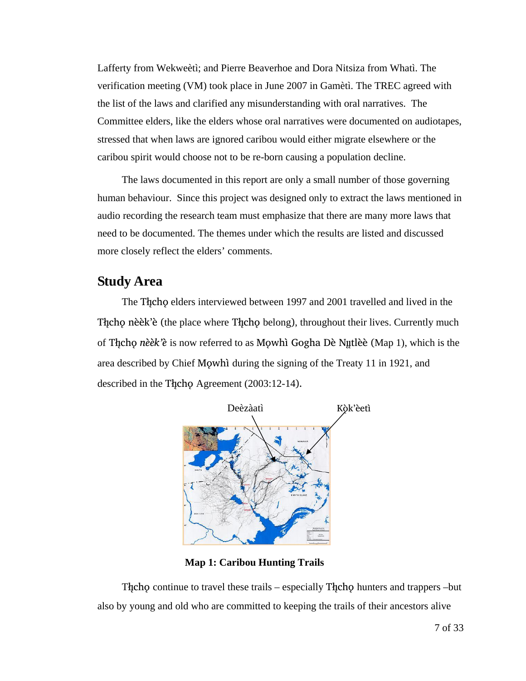Lafferty from Wekweètì; and Pierre Beaverhoe and Dora Nitsiza from Whatì. The verification meeting (VM) took place in June 2007 in Gamètì. The TREC agreed with the list of the laws and clarified any misunderstanding with oral narratives. The Committee elders, like the elders whose oral narratives were documented on audiotapes, stressed that when laws are ignored caribou would either migrate elsewhere or the caribou spirit would choose not to be re-born causing a population decline.

The laws documented in this report are only a small number of those governing human behaviour. Since this project was designed only to extract the laws mentioned in audio recording the research team must emphasize that there are many more laws that need to be documented. The themes under which the results are listed and discussed more closely reflect the elders' comments.

# **Study Area**

The The celders interviewed between 1997 and 2001 travelled and lived in the The cho nèèk'è (the place where The cho belong), throughout their lives. Currently much of The cho *nèèk'è* is now referred to as Mowhì Gogha Dè Nutlèè (Map 1), which is the area described by Chief Mowhì during the signing of the Treaty 11 in 1921, and described in the Theory Agreement  $(2003:12-14)$ .



 **Map 1: Caribou Hunting Trails** 

The continue to travel these trails – especially The choiners and trappers –but also by young and old who are committed to keeping the trails of their ancestors alive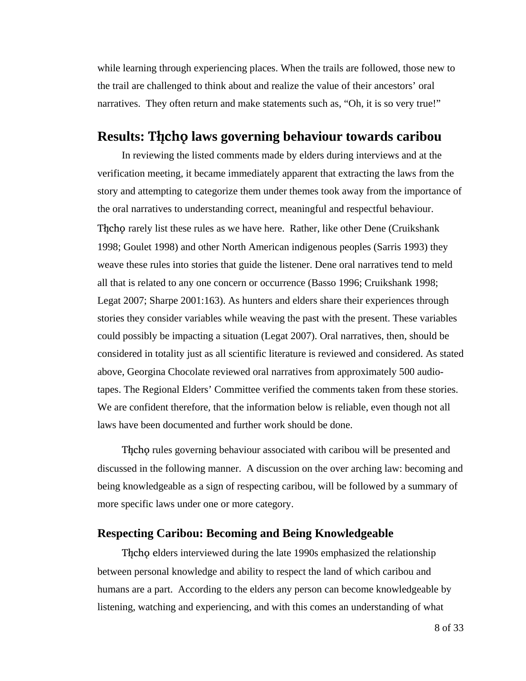while learning through experiencing places. When the trails are followed, those new to the trail are challenged to think about and realize the value of their ancestors' oral narratives. They often return and make statements such as, "Oh, it is so very true!"

## **Results: The hold laws governing behaviour towards caribou**

In reviewing the listed comments made by elders during interviews and at the verification meeting, it became immediately apparent that extracting the laws from the story and attempting to categorize them under themes took away from the importance of the oral narratives to understanding correct, meaningful and respectful behaviour. The chore rarely list these rules as we have here. Rather, like other Dene (Cruikshank 1998; Goulet 1998) and other North American indigenous peoples (Sarris 1993) they weave these rules into stories that guide the listener. Dene oral narratives tend to meld all that is related to any one concern or occurrence (Basso 1996; Cruikshank 1998; Legat 2007; Sharpe 2001:163). As hunters and elders share their experiences through stories they consider variables while weaving the past with the present. These variables could possibly be impacting a situation (Legat 2007). Oral narratives, then, should be considered in totality just as all scientific literature is reviewed and considered. As stated above, Georgina Chocolate reviewed oral narratives from approximately 500 audiotapes. The Regional Elders' Committee verified the comments taken from these stories. We are confident therefore, that the information below is reliable, even though not all laws have been documented and further work should be done.

The cho rules governing behaviour associated with caribou will be presented and discussed in the following manner. A discussion on the over arching law: becoming and being knowledgeable as a sign of respecting caribou, will be followed by a summary of more specific laws under one or more category.

#### **Respecting Caribou: Becoming and Being Knowledgeable**

The cho elders interviewed during the late 1990s emphasized the relationship between personal knowledge and ability to respect the land of which caribou and humans are a part. According to the elders any person can become knowledgeable by listening, watching and experiencing, and with this comes an understanding of what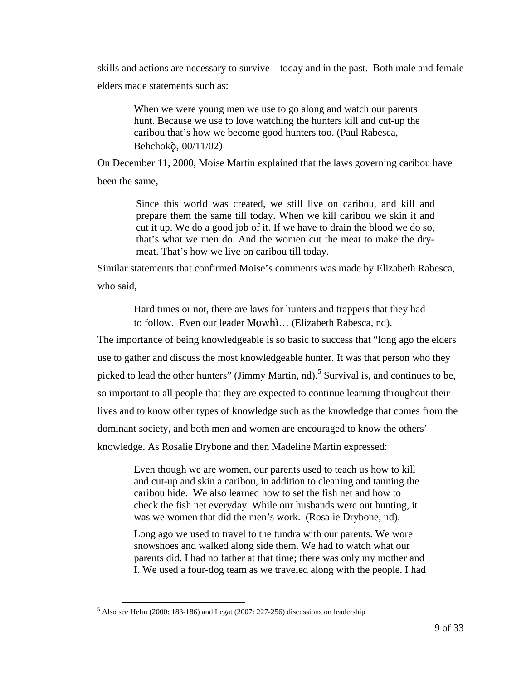skills and actions are necessary to survive – today and in the past. Both male and female elders made statements such as:

When we were young men we use to go along and watch our parents hunt. Because we use to love watching the hunters kill and cut-up the caribou that's how we become good hunters too. (Paul Rabesca, Behchokö, 00/11/02)

On December 11, 2000, Moise Martin explained that the laws governing caribou have been the same,

> Since this world was created, we still live on caribou, and kill and prepare them the same till today. When we kill caribou we skin it and cut it up. We do a good job of it. If we have to drain the blood we do so, that's what we men do. And the women cut the meat to make the drymeat. That's how we live on caribou till today.

Similar statements that confirmed Moise's comments was made by Elizabeth Rabesca, who said,

> Hard times or not, there are laws for hunters and trappers that they had to follow. Even our leader Mowhi... (Elizabeth Rabesca, nd).

The importance of being knowledgeable is so basic to success that "long ago the elders use to gather and discuss the most knowledgeable hunter. It was that person who they picked to lead the other hunters" (Jimmy Martin, nd).<sup>5</sup> Survival is, and continues to be, so important to all people that they are expected to continue learning throughout their lives and to know other types of knowledge such as the knowledge that comes from the dominant society, and both men and women are encouraged to know the others' knowledge. As Rosalie Drybone and then Madeline Martin expressed:

> Even though we are women, our parents used to teach us how to kill and cut-up and skin a caribou, in addition to cleaning and tanning the caribou hide. We also learned how to set the fish net and how to check the fish net everyday. While our husbands were out hunting, it was we women that did the men's work. (Rosalie Drybone, nd).

Long ago we used to travel to the tundra with our parents. We wore snowshoes and walked along side them. We had to watch what our parents did. I had no father at that time; there was only my mother and I. We used a four-dog team as we traveled along with the people. I had

 <sup>5</sup> Also see Helm (2000: 183-186) and Legat (2007: 227-256) discussions on leadership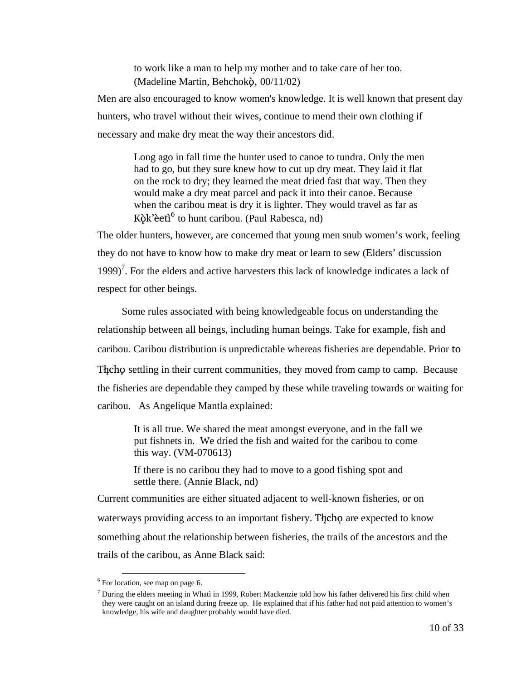to work like a man to help my mother and to take care of her too. (Madeline Martin, Behchokö, 00/11/02)

Men are also encouraged to know women's knowledge. It is well known that present day hunters, who travel without their wives, continue to mend their own clothing if necessary and make dry meat the way their ancestors did.

Long ago in fall time the hunter used to canoe to tundra. Only the men had to go, but they sure knew how to cut up dry meat. They laid it flat on the rock to dry; they learned the meat dried fast that way. Then they would make a dry meat parcel and pack it into their canoe. Because when the caribou meat is dry it is lighter. They would travel as far as  $K\hat{\rho}k'$ èetì<sup>6</sup> to hunt caribou. (Paul Rabesca, nd)

The older hunters, however, are concerned that young men snub women's work, feeling they do not have to know how to make dry meat or learn to sew (Elders' discussion 1999)<sup>7</sup>. For the elders and active harvesters this lack of knowledge indicates a lack of respect for other beings.

Some rules associated with being knowledgeable focus on understanding the relationship between all beings, including human beings. Take for example, fish and caribou. Caribou distribution is unpredictable whereas fisheries are dependable. Prior to The contribution is the interest communities, they moved from camp to camp. Because the fisheries are dependable they camped by these while traveling towards or waiting for caribou. As Angelique Mantla explained:

It is all true. We shared the meat amongst everyone, and in the fall we put fishnets in. We dried the fish and waited for the caribou to come this way. (VM-070613)

If there is no caribou they had to move to a good fishing spot and settle there. (Annie Black, nd)

Current communities are either situated adjacent to well-known fisheries, or on waterways providing access to an important fishery. The care expected to know something about the relationship between fisheries, the trails of the ancestors and the trails of the caribou, as Anne Black said:

 <sup>6</sup> For location, see map on page 6.

 $<sup>7</sup>$  During the elders meeting in Whatì in 1999, Robert Mackenzie told how his father delivered his first child when</sup> they were caught on an island during freeze up. He explained that if his father had not paid attention to women's knowledge, his wife and daughter probably would have died.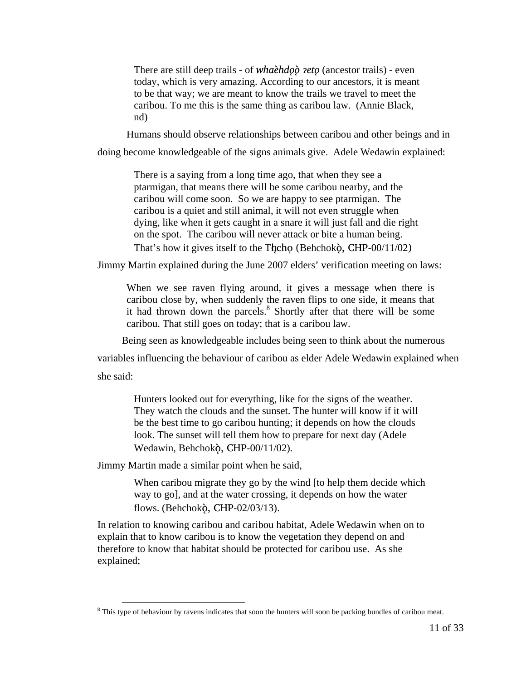There are still deep trails - of *whaehdoo zeto* (ancestor trails) - even today, which is very amazing. According to our ancestors, it is meant to be that way; we are meant to know the trails we travel to meet the caribou. To me this is the same thing as caribou law. (Annie Black, nd)

Humans should observe relationships between caribou and other beings and in

doing become knowledgeable of the signs animals give. Adele Wedawin explained:

There is a saying from a long time ago, that when they see a ptarmigan, that means there will be some caribou nearby, and the caribou will come soon. So we are happy to see ptarmigan. The caribou is a quiet and still animal, it will not even struggle when dying, like when it gets caught in a snare it will just fall and die right on the spot. The caribou will never attack or bite a human being. That's how it gives itself to the Thcho (Behchoko, CHP-00/11/02)

Jimmy Martin explained during the June 2007 elders' verification meeting on laws:

When we see raven flying around, it gives a message when there is caribou close by, when suddenly the raven flips to one side, it means that it had thrown down the parcels.<sup>8</sup> Shortly after that there will be some caribou. That still goes on today; that is a caribou law.

Being seen as knowledgeable includes being seen to think about the numerous

variables influencing the behaviour of caribou as elder Adele Wedawin explained when

she said:

Hunters looked out for everything, like for the signs of the weather. They watch the clouds and the sunset. The hunter will know if it will be the best time to go caribou hunting; it depends on how the clouds look. The sunset will tell them how to prepare for next day (Adele Wedawin, Behchokö, CHP-00/11/02).

Jimmy Martin made a similar point when he said,

When caribou migrate they go by the wind [to help them decide which way to go], and at the water crossing, it depends on how the water flows. (Behchokö, CHP-02/03/13).

In relation to knowing caribou and caribou habitat, Adele Wedawin when on to explain that to know caribou is to know the vegetation they depend on and therefore to know that habitat should be protected for caribou use. As she explained;

<sup>&</sup>lt;sup>8</sup> This type of behaviour by ravens indicates that soon the hunters will soon be packing bundles of caribou meat.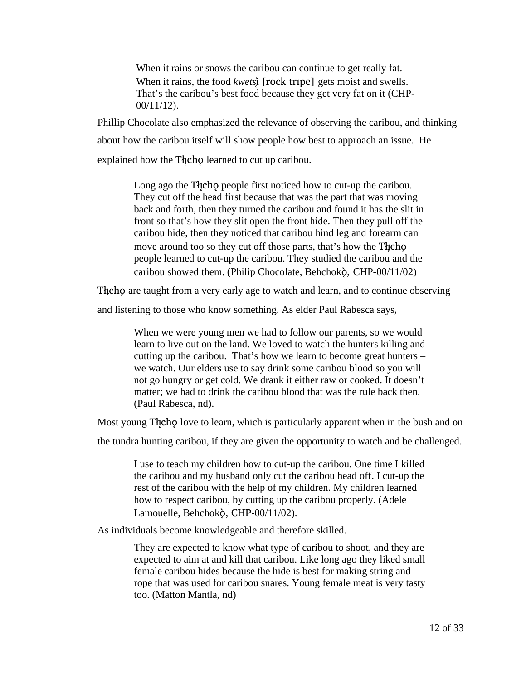When it rains or snows the caribou can continue to get really fat. When it rains, the food *kwets***j** [rock tripe] gets moist and swells. That's the caribou's best food because they get very fat on it (CHP-00/11/12).

Phillip Chocolate also emphasized the relevance of observing the caribou, and thinking about how the caribou itself will show people how best to approach an issue. He explained how the Thcho learned to cut up caribou.

> Long ago the Theore people first noticed how to cut-up the caribou. They cut off the head first because that was the part that was moving back and forth, then they turned the caribou and found it has the slit in front so that's how they slit open the front hide. Then they pull off the caribou hide, then they noticed that caribou hind leg and forearm can move around too so they cut off those parts, that's how the Theorem people learned to cut-up the caribou. They studied the caribou and the caribou showed them. (Philip Chocolate, Behchokö, CHP-00/11/02)

The choice are taught from a very early age to watch and learn, and to continue observing

and listening to those who know something. As elder Paul Rabesca says,

When we were young men we had to follow our parents, so we would learn to live out on the land. We loved to watch the hunters killing and cutting up the caribou. That's how we learn to become great hunters – we watch. Our elders use to say drink some caribou blood so you will not go hungry or get cold. We drank it either raw or cooked. It doesn't matter; we had to drink the caribou blood that was the rule back then. (Paul Rabesca, nd).

Most young The holove to learn, which is particularly apparent when in the bush and on

the tundra hunting caribou, if they are given the opportunity to watch and be challenged.

I use to teach my children how to cut-up the caribou. One time I killed the caribou and my husband only cut the caribou head off. I cut-up the rest of the caribou with the help of my children. My children learned how to respect caribou, by cutting up the caribou properly. (Adele Lamouelle, Behchokö, CHP-00/11/02).

As individuals become knowledgeable and therefore skilled.

They are expected to know what type of caribou to shoot, and they are expected to aim at and kill that caribou. Like long ago they liked small female caribou hides because the hide is best for making string and rope that was used for caribou snares. Young female meat is very tasty too. (Matton Mantla, nd)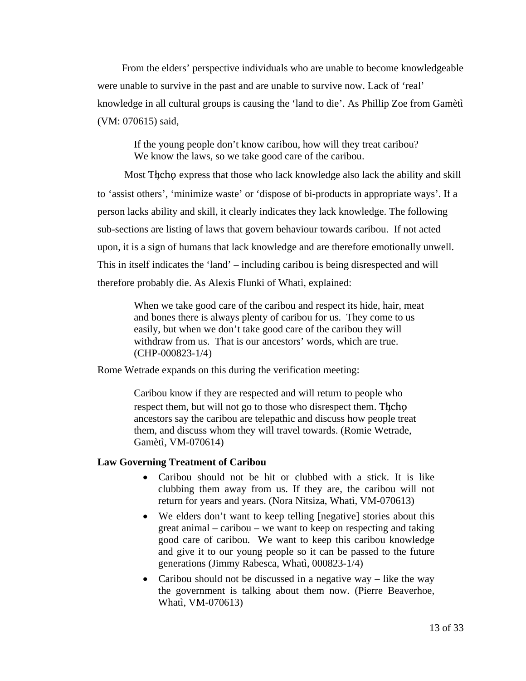From the elders' perspective individuals who are unable to become knowledgeable were unable to survive in the past and are unable to survive now. Lack of 'real' knowledge in all cultural groups is causing the 'land to die'. As Phillip Zoe from Gamètì (VM: 070615) said,

If the young people don't know caribou, how will they treat caribou? We know the laws, so we take good care of the caribou.

Most Theorecho express that those who lack knowledge also lack the ability and skill to 'assist others', 'minimize waste' or 'dispose of bi-products in appropriate ways'. If a person lacks ability and skill, it clearly indicates they lack knowledge. The following sub-sections are listing of laws that govern behaviour towards caribou. If not acted upon, it is a sign of humans that lack knowledge and are therefore emotionally unwell. This in itself indicates the 'land' – including caribou is being disrespected and will therefore probably die. As Alexis Flunki of Whatì, explained:

When we take good care of the caribou and respect its hide, hair, meat and bones there is always plenty of caribou for us. They come to us easily, but when we don't take good care of the caribou they will withdraw from us. That is our ancestors' words, which are true. (CHP-000823-1/4)

Rome Wetrade expands on this during the verification meeting:

Caribou know if they are respected and will return to people who respect them, but will not go to those who disrespect them. The ho ancestors say the caribou are telepathic and discuss how people treat them, and discuss whom they will travel towards. (Romie Wetrade, Gamètì, VM-070614)

#### **Law Governing Treatment of Caribou**

- Caribou should not be hit or clubbed with a stick. It is like clubbing them away from us. If they are, the caribou will not return for years and years. (Nora Nitsiza, Whatì, VM-070613)
- We elders don't want to keep telling [negative] stories about this great animal – caribou – we want to keep on respecting and taking good care of caribou. We want to keep this caribou knowledge and give it to our young people so it can be passed to the future generations (Jimmy Rabesca, Whatì, 000823-1/4)
- Caribou should not be discussed in a negative way like the way the government is talking about them now. (Pierre Beaverhoe, Whatì, VM-070613)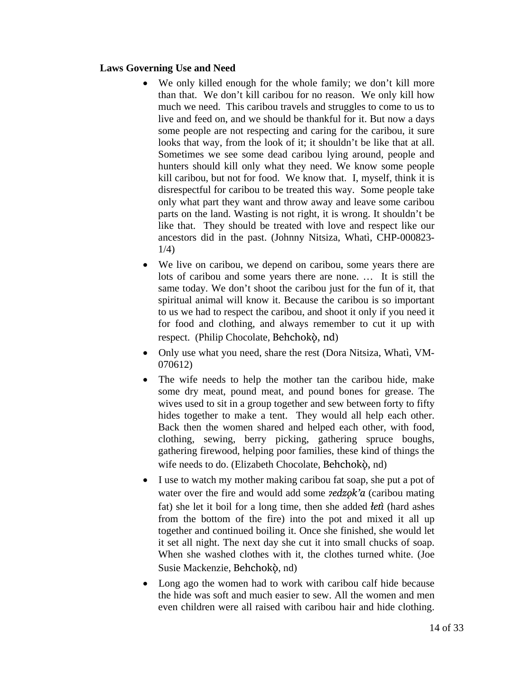#### **Laws Governing Use and Need**

- We only killed enough for the whole family; we don't kill more than that. We don't kill caribou for no reason. We only kill how much we need. This caribou travels and struggles to come to us to live and feed on, and we should be thankful for it. But now a days some people are not respecting and caring for the caribou, it sure looks that way, from the look of it; it shouldn't be like that at all. Sometimes we see some dead caribou lying around, people and hunters should kill only what they need. We know some people kill caribou, but not for food. We know that. I, myself, think it is disrespectful for caribou to be treated this way. Some people take only what part they want and throw away and leave some caribou parts on the land. Wasting is not right, it is wrong. It shouldn't be like that. They should be treated with love and respect like our ancestors did in the past. (Johnny Nitsiza, Whatì, CHP-000823- 1/4)
- We live on caribou, we depend on caribou, some years there are lots of caribou and some years there are none. … It is still the same today. We don't shoot the caribou just for the fun of it, that spiritual animal will know it. Because the caribou is so important to us we had to respect the caribou, and shoot it only if you need it for food and clothing, and always remember to cut it up with respect. (Philip Chocolate, Behchokö, nd)
- Only use what you need, share the rest (Dora Nitsiza, Whatì, VM-070612)
- The wife needs to help the mother tan the caribou hide, make some dry meat, pound meat, and pound bones for grease. The wives used to sit in a group together and sew between forty to fifty hides together to make a tent. They would all help each other. Back then the women shared and helped each other, with food, clothing, sewing, berry picking, gathering spruce boughs, gathering firewood, helping poor families, these kind of things the wife needs to do. (Elizabeth Chocolate, Behchokö, nd)
- I use to watch my mother making caribou fat soap, she put a pot of water over the fire and would add some *zedzok'a* (caribou mating fat) she let it boil for a long time, then she added *åetì* (hard ashes from the bottom of the fire) into the pot and mixed it all up together and continued boiling it. Once she finished, she would let it set all night. The next day she cut it into small chucks of soap. When she washed clothes with it, the clothes turned white. (Joe Susie Mackenzie, Behchokö, nd)
- Long ago the women had to work with caribou calf hide because the hide was soft and much easier to sew. All the women and men even children were all raised with caribou hair and hide clothing.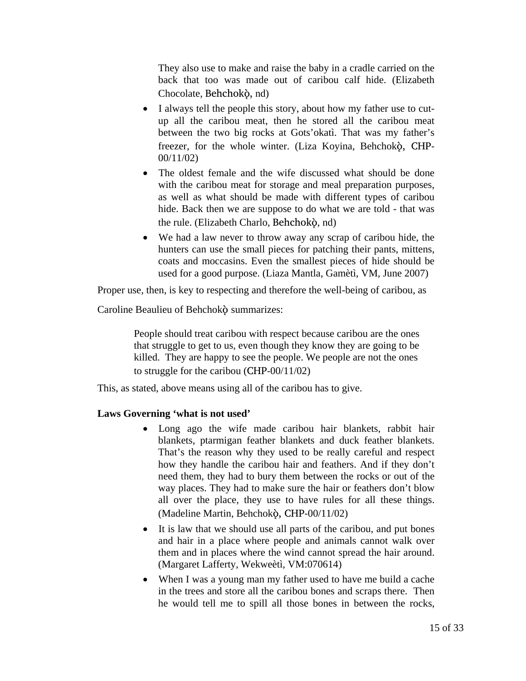They also use to make and raise the baby in a cradle carried on the back that too was made out of caribou calf hide. (Elizabeth Chocolate, Behchokö, nd)

- I always tell the people this story, about how my father use to cutup all the caribou meat, then he stored all the caribou meat between the two big rocks at Gots'okatì. That was my father's freezer, for the whole winter. (Liza Koyina, Behchokò, CHP-00/11/02)
- The oldest female and the wife discussed what should be done with the caribou meat for storage and meal preparation purposes, as well as what should be made with different types of caribou hide. Back then we are suppose to do what we are told - that was the rule. (Elizabeth Charlo, Behchokò, nd)
- We had a law never to throw away any scrap of caribou hide, the hunters can use the small pieces for patching their pants, mittens, coats and moccasins. Even the smallest pieces of hide should be used for a good purpose. (Liaza Mantla, Gamètì, VM, June 2007)

Proper use, then, is key to respecting and therefore the well-being of caribou, as

Caroline Beaulieu of Behchokò summarizes:

People should treat caribou with respect because caribou are the ones that struggle to get to us, even though they know they are going to be killed. They are happy to see the people. We people are not the ones to struggle for the caribou (CHP-00/11/02)

This, as stated, above means using all of the caribou has to give.

#### **Laws Governing 'what is not used'**

- Long ago the wife made caribou hair blankets, rabbit hair blankets, ptarmigan feather blankets and duck feather blankets. That's the reason why they used to be really careful and respect how they handle the caribou hair and feathers. And if they don't need them, they had to bury them between the rocks or out of the way places. They had to make sure the hair or feathers don't blow all over the place, they use to have rules for all these things. (Madeline Martin, Behchokö, CHP-00/11/02)
- It is law that we should use all parts of the caribou, and put bones and hair in a place where people and animals cannot walk over them and in places where the wind cannot spread the hair around. (Margaret Lafferty, Wekweètì, VM:070614)
- When I was a young man my father used to have me build a cache in the trees and store all the caribou bones and scraps there. Then he would tell me to spill all those bones in between the rocks,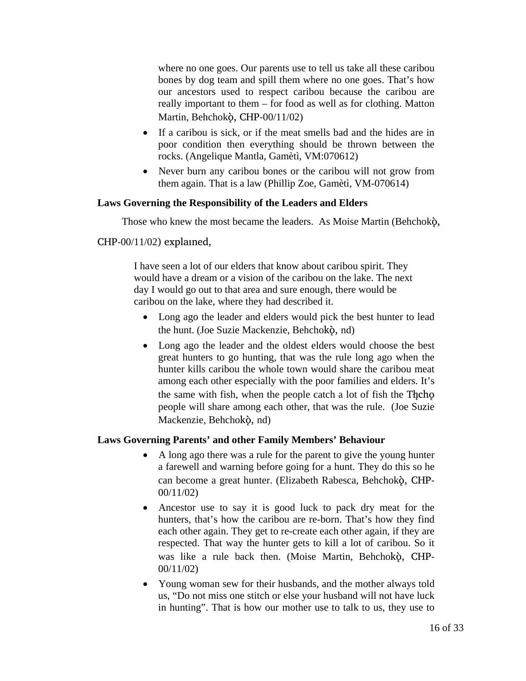where no one goes. Our parents use to tell us take all these caribou bones by dog team and spill them where no one goes. That's how our ancestors used to respect caribou because the caribou are really important to them – for food as well as for clothing. Matton Martin, Behchokö, CHP-00/11/02)

- If a caribou is sick, or if the meat smells bad and the hides are in poor condition then everything should be thrown between the rocks. (Angelique Mantla, Gamètì, VM:070612)
- Never burn any caribou bones or the caribou will not grow from them again. That is a law (Phillip Zoe, Gamètì, VM-070614)

#### **Laws Governing the Responsibility of the Leaders and Elders**

Those who knew the most became the leaders. As Moise Martin (Behchok $\delta$ ,

CHP-00/11/02) explained,

I have seen a lot of our elders that know about caribou spirit. They would have a dream or a vision of the caribou on the lake. The next day I would go out to that area and sure enough, there would be caribou on the lake, where they had described it.

- Long ago the leader and elders would pick the best hunter to lead the hunt. (Joe Suzie Mackenzie, Behchokö, nd)
- Long ago the leader and the oldest elders would choose the best great hunters to go hunting, that was the rule long ago when the hunter kills caribou the whole town would share the caribou meat among each other especially with the poor families and elders. It's the same with fish, when the people catch a lot of fish the Theorem people will share among each other, that was the rule. (Joe Suzie Mackenzie, Behchokö, nd)

#### **Laws Governing Parents' and other Family Members' Behaviour**

- A long ago there was a rule for the parent to give the young hunter a farewell and warning before going for a hunt. They do this so he can become a great hunter. (Elizabeth Rabesca, Behchokö, CHP-00/11/02)
- Ancestor use to say it is good luck to pack dry meat for the hunters, that's how the caribou are re-born. That's how they find each other again. They get to re-create each other again, if they are respected. That way the hunter gets to kill a lot of caribou. So it was like a rule back then. (Moise Martin, Behchokò, CHP-00/11/02)
- Young woman sew for their husbands, and the mother always told us, "Do not miss one stitch or else your husband will not have luck in hunting". That is how our mother use to talk to us, they use to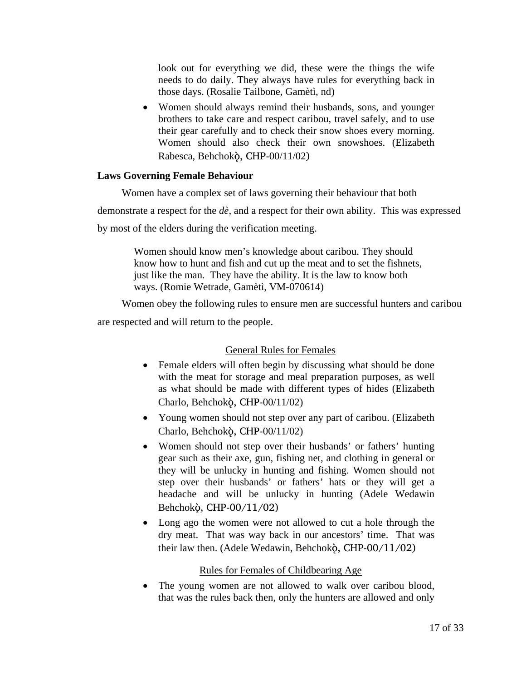look out for everything we did, these were the things the wife needs to do daily. They always have rules for everything back in those days. (Rosalie Tailbone, Gamètì, nd)

• Women should always remind their husbands, sons, and younger brothers to take care and respect caribou, travel safely, and to use their gear carefully and to check their snow shoes every morning. Women should also check their own snowshoes. (Elizabeth Rabesca, Behchokö, CHP-00/11/02)

#### **Laws Governing Female Behaviour**

Women have a complex set of laws governing their behaviour that both

demonstrate a respect for the *dè,* and a respect for their own ability. This was expressed

by most of the elders during the verification meeting.

Women should know men's knowledge about caribou. They should know how to hunt and fish and cut up the meat and to set the fishnets, just like the man. They have the ability. It is the law to know both ways. (Romie Wetrade, Gamètì, VM-070614)

Women obey the following rules to ensure men are successful hunters and caribou are respected and will return to the people.

#### General Rules for Females

- Female elders will often begin by discussing what should be done with the meat for storage and meal preparation purposes, as well as what should be made with different types of hides (Elizabeth Charlo, Behchokö, CHP-00/11/02)
- Young women should not step over any part of caribou. (Elizabeth Charlo, Behchokö, CHP-00/11/02)
- Women should not step over their husbands' or fathers' hunting gear such as their axe, gun, fishing net, and clothing in general or they will be unlucky in hunting and fishing. Women should not step over their husbands' or fathers' hats or they will get a headache and will be unlucky in hunting (Adele Wedawin Behchokö, CHP-00/11/02)
- Long ago the women were not allowed to cut a hole through the dry meat. That was way back in our ancestors' time. That was their law then. (Adele Wedawin, Behchokò, CHP-00/11/02)

#### Rules for Females of Childbearing Age

• The young women are not allowed to walk over caribou blood, that was the rules back then, only the hunters are allowed and only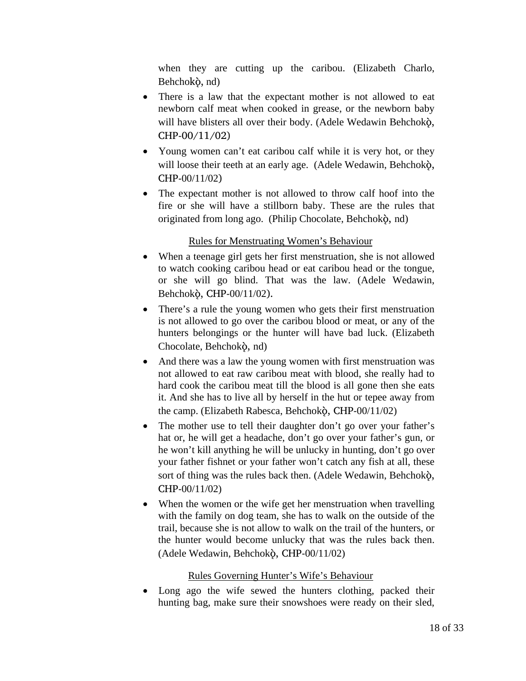when they are cutting up the caribou. (Elizabeth Charlo, Behchokö, nd)

- There is a law that the expectant mother is not allowed to eat newborn calf meat when cooked in grease, or the newborn baby will have blisters all over their body. (Adele Wedawin Behchokò, CHP-00/11/02)
- Young women can't eat caribou calf while it is very hot, or they will loose their teeth at an early age. (Adele Wedawin, Behchokò, CHP-00/11/02)
- The expectant mother is not allowed to throw calf hoof into the fire or she will have a stillborn baby. These are the rules that originated from long ago. (Philip Chocolate, Behchokö, nd)

#### Rules for Menstruating Women's Behaviour

- When a teenage girl gets her first menstruation, she is not allowed to watch cooking caribou head or eat caribou head or the tongue, or she will go blind. That was the law. (Adele Wedawin, Behchokö, CHP-00/11/02).
- There's a rule the young women who gets their first menstruation is not allowed to go over the caribou blood or meat, or any of the hunters belongings or the hunter will have bad luck. (Elizabeth Chocolate, Behchokö, nd)
- And there was a law the young women with first menstruation was not allowed to eat raw caribou meat with blood, she really had to hard cook the caribou meat till the blood is all gone then she eats it. And she has to live all by herself in the hut or tepee away from the camp. (Elizabeth Rabesca, Behchokö, CHP-00/11/02)
- The mother use to tell their daughter don't go over your father's hat or, he will get a headache, don't go over your father's gun, or he won't kill anything he will be unlucky in hunting, don't go over your father fishnet or your father won't catch any fish at all, these sort of thing was the rules back then. (Adele Wedawin, Behchokö, CHP-00/11/02)
- When the women or the wife get her menstruation when travelling with the family on dog team, she has to walk on the outside of the trail, because she is not allow to walk on the trail of the hunters, or the hunter would become unlucky that was the rules back then. (Adele Wedawin, Behchokö, CHP-00/11/02)

#### Rules Governing Hunter's Wife's Behaviour

• Long ago the wife sewed the hunters clothing, packed their hunting bag, make sure their snowshoes were ready on their sled,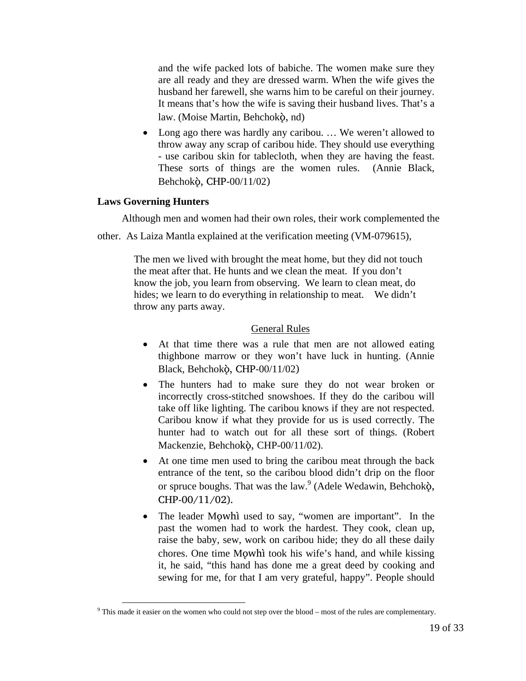and the wife packed lots of babiche. The women make sure they are all ready and they are dressed warm. When the wife gives the husband her farewell, she warns him to be careful on their journey. It means that's how the wife is saving their husband lives. That's a law. (Moise Martin, Behchokö, nd)

• Long ago there was hardly any caribou. ... We weren't allowed to throw away any scrap of caribou hide. They should use everything - use caribou skin for tablecloth, when they are having the feast. These sorts of things are the women rules. (Annie Black, Behchokö, CHP-00/11/02)

#### **Laws Governing Hunters**

Although men and women had their own roles, their work complemented the

other. As Laiza Mantla explained at the verification meeting (VM-079615),

The men we lived with brought the meat home, but they did not touch the meat after that. He hunts and we clean the meat. If you don't know the job, you learn from observing. We learn to clean meat, do hides; we learn to do everything in relationship to meat. We didn't throw any parts away.

#### General Rules

- At that time there was a rule that men are not allowed eating thighbone marrow or they won't have luck in hunting. (Annie Black, Behchokö, CHP-00/11/02)
- The hunters had to make sure they do not wear broken or incorrectly cross-stitched snowshoes. If they do the caribou will take off like lighting. The caribou knows if they are not respected. Caribou know if what they provide for us is used correctly. The hunter had to watch out for all these sort of things. (Robert Mackenzie, Behchokö, CHP-00/11/02).
- At one time men used to bring the caribou meat through the back entrance of the tent, so the caribou blood didn't drip on the floor or spruce boughs. That was the law. $9$  (Adele Wedawin, Behchok $\delta$ , CHP-00/11/02).
- The leader Mowhì used to say, "women are important". In the past the women had to work the hardest. They cook, clean up, raise the baby, sew, work on caribou hide; they do all these daily chores. One time Mowhì took his wife's hand, and while kissing it, he said, "this hand has done me a great deed by cooking and sewing for me, for that I am very grateful, happy". People should

<sup>&</sup>lt;sup>9</sup> This made it easier on the women who could not step over the blood – most of the rules are complementary.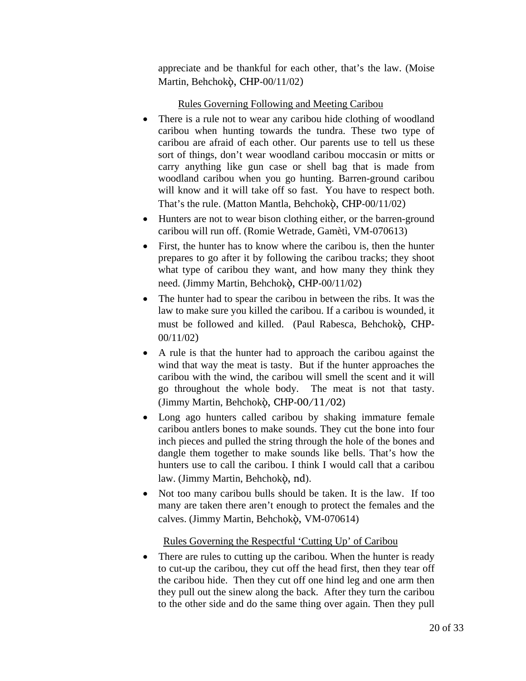appreciate and be thankful for each other, that's the law. (Moise Martin, Behchokö, CHP-00/11/02)

### Rules Governing Following and Meeting Caribou

- There is a rule not to wear any caribou hide clothing of woodland caribou when hunting towards the tundra. These two type of caribou are afraid of each other. Our parents use to tell us these sort of things, don't wear woodland caribou moccasin or mitts or carry anything like gun case or shell bag that is made from woodland caribou when you go hunting. Barren-ground caribou will know and it will take off so fast. You have to respect both. That's the rule. (Matton Mantla, Behchokö, CHP-00/11/02)
- Hunters are not to wear bison clothing either, or the barren-ground caribou will run off. (Romie Wetrade, Gamètì, VM-070613)
- First, the hunter has to know where the caribou is, then the hunter prepares to go after it by following the caribou tracks; they shoot what type of caribou they want, and how many they think they need. (Jimmy Martin, Behchokò, CHP-00/11/02)
- The hunter had to spear the caribou in between the ribs. It was the law to make sure you killed the caribou. If a caribou is wounded, it must be followed and killed. (Paul Rabesca, Behchokò, CHP-00/11/02)
- A rule is that the hunter had to approach the caribou against the wind that way the meat is tasty. But if the hunter approaches the caribou with the wind, the caribou will smell the scent and it will go throughout the whole body. The meat is not that tasty. (Jimmy Martin, Behchokö, CHP-00/11/02)
- Long ago hunters called caribou by shaking immature female caribou antlers bones to make sounds. They cut the bone into four inch pieces and pulled the string through the hole of the bones and dangle them together to make sounds like bells. That's how the hunters use to call the caribou. I think I would call that a caribou law. (Jimmy Martin, Behchokö, nd).
- Not too many caribou bulls should be taken. It is the law. If too many are taken there aren't enough to protect the females and the calves. (Jimmy Martin, Behchokò, VM-070614)

Rules Governing the Respectful 'Cutting Up' of Caribou

• There are rules to cutting up the caribou. When the hunter is ready to cut-up the caribou, they cut off the head first, then they tear off the caribou hide. Then they cut off one hind leg and one arm then they pull out the sinew along the back. After they turn the caribou to the other side and do the same thing over again. Then they pull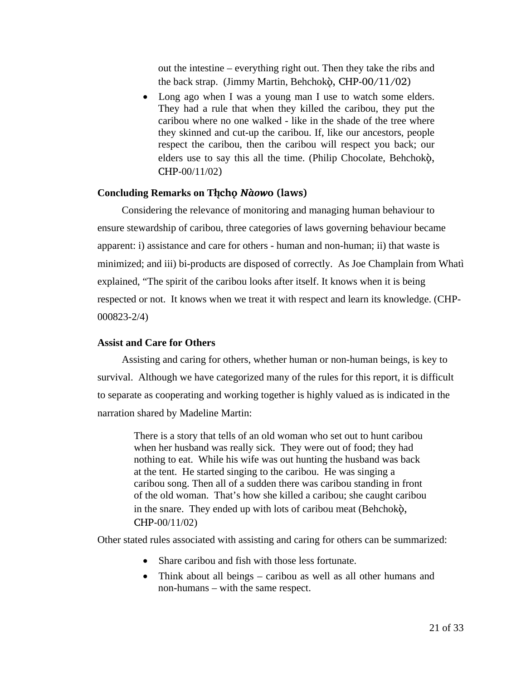out the intestine – everything right out. Then they take the ribs and the back strap. (Jimmy Martin, Behchokö, CHP-00/11/02)

• Long ago when I was a young man I use to watch some elders. They had a rule that when they killed the caribou, they put the caribou where no one walked - like in the shade of the tree where they skinned and cut-up the caribou. If, like our ancestors, people respect the caribou, then the caribou will respect you back; our elders use to say this all the time. (Philip Chocolate, Behchokö, CHP-00/11/02)

#### **Concluding Remarks on Tåîchô** *Nàow***o (laws)**

Considering the relevance of monitoring and managing human behaviour to ensure stewardship of caribou, three categories of laws governing behaviour became apparent: i) assistance and care for others - human and non-human; ii) that waste is minimized; and iii) bi-products are disposed of correctly. As Joe Champlain from Whatì explained, "The spirit of the caribou looks after itself. It knows when it is being respected or not. It knows when we treat it with respect and learn its knowledge. (CHP-000823-2/4)

#### **Assist and Care for Others**

Assisting and caring for others, whether human or non-human beings, is key to survival. Although we have categorized many of the rules for this report, it is difficult to separate as cooperating and working together is highly valued as is indicated in the narration shared by Madeline Martin:

> There is a story that tells of an old woman who set out to hunt caribou when her husband was really sick. They were out of food; they had nothing to eat. While his wife was out hunting the husband was back at the tent. He started singing to the caribou. He was singing a caribou song. Then all of a sudden there was caribou standing in front of the old woman. That's how she killed a caribou; she caught caribou in the snare. They ended up with lots of caribou meat (Behchokö, CHP-00/11/02)

Other stated rules associated with assisting and caring for others can be summarized:

- Share caribou and fish with those less fortunate.
- Think about all beings caribou as well as all other humans and non-humans – with the same respect.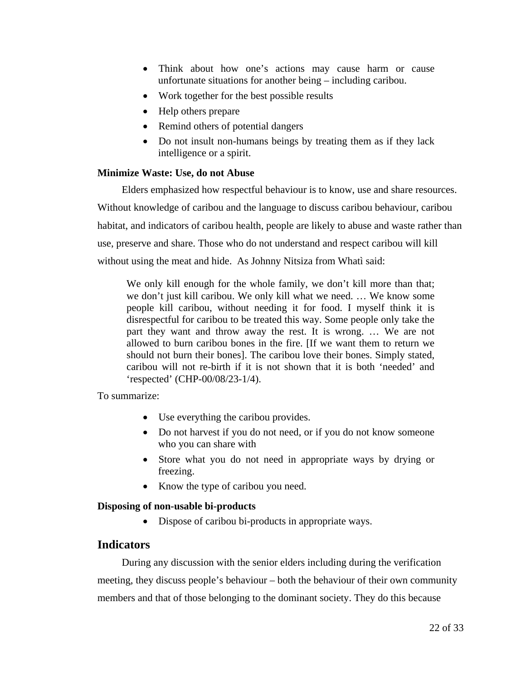- Think about how one's actions may cause harm or cause unfortunate situations for another being – including caribou.
- Work together for the best possible results
- Help others prepare
- Remind others of potential dangers
- Do not insult non-humans beings by treating them as if they lack intelligence or a spirit.

#### **Minimize Waste: Use, do not Abuse**

Elders emphasized how respectful behaviour is to know, use and share resources. Without knowledge of caribou and the language to discuss caribou behaviour, caribou habitat, and indicators of caribou health, people are likely to abuse and waste rather than use, preserve and share. Those who do not understand and respect caribou will kill without using the meat and hide. As Johnny Nitsiza from Whatì said:

We only kill enough for the whole family, we don't kill more than that; we don't just kill caribou. We only kill what we need. … We know some people kill caribou, without needing it for food. I myself think it is disrespectful for caribou to be treated this way. Some people only take the part they want and throw away the rest. It is wrong. … We are not allowed to burn caribou bones in the fire. [If we want them to return we should not burn their bones]. The caribou love their bones. Simply stated, caribou will not re-birth if it is not shown that it is both 'needed' and 'respected' (CHP-00/08/23-1/4).

To summarize:

- Use everything the caribou provides.
- Do not harvest if you do not need, or if you do not know someone who you can share with
- Store what you do not need in appropriate ways by drying or freezing.
- Know the type of caribou you need.

#### **Disposing of non-usable bi-products**

• Dispose of caribou bi-products in appropriate ways.

#### **Indicators**

During any discussion with the senior elders including during the verification meeting, they discuss people's behaviour – both the behaviour of their own community members and that of those belonging to the dominant society. They do this because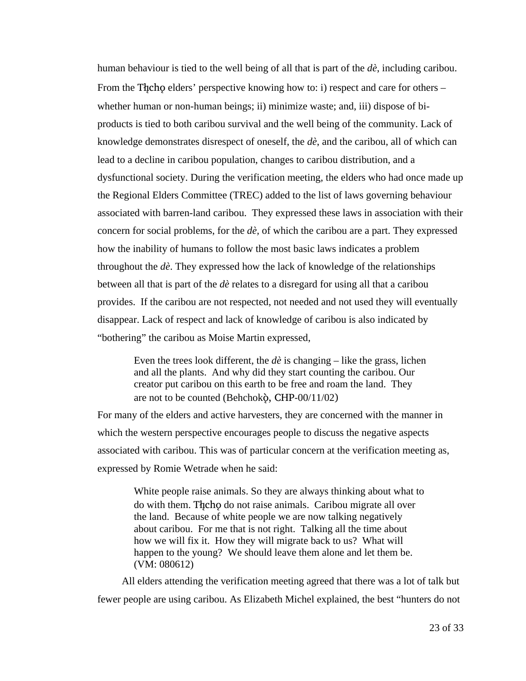human behaviour is tied to the well being of all that is part of the *dè*, including caribou. From the Theore elders' perspective knowing how to: i) respect and care for others – whether human or non-human beings; ii) minimize waste; and, iii) dispose of biproducts is tied to both caribou survival and the well being of the community. Lack of knowledge demonstrates disrespect of oneself, the *dè*, and the caribou, all of which can lead to a decline in caribou population, changes to caribou distribution, and a dysfunctional society. During the verification meeting, the elders who had once made up the Regional Elders Committee (TREC) added to the list of laws governing behaviour associated with barren-land caribou. They expressed these laws in association with their concern for social problems, for the *dè,* of which the caribou are a part. They expressed how the inability of humans to follow the most basic laws indicates a problem throughout the *dè*. They expressed how the lack of knowledge of the relationships between all that is part of the *dè* relates to a disregard for using all that a caribou provides. If the caribou are not respected, not needed and not used they will eventually disappear. Lack of respect and lack of knowledge of caribou is also indicated by "bothering" the caribou as Moise Martin expressed,

Even the trees look different, the *dè* is changing – like the grass, lichen and all the plants. And why did they start counting the caribou. Our creator put caribou on this earth to be free and roam the land. They are not to be counted (Behchokö, CHP-00/11/02)

For many of the elders and active harvesters, they are concerned with the manner in which the western perspective encourages people to discuss the negative aspects associated with caribou. This was of particular concern at the verification meeting as, expressed by Romie Wetrade when he said:

> White people raise animals. So they are always thinking about what to do with them. The ho do not raise animals. Caribou migrate all over the land. Because of white people we are now talking negatively about caribou. For me that is not right. Talking all the time about how we will fix it. How they will migrate back to us? What will happen to the young? We should leave them alone and let them be. (VM: 080612)

All elders attending the verification meeting agreed that there was a lot of talk but fewer people are using caribou. As Elizabeth Michel explained, the best "hunters do not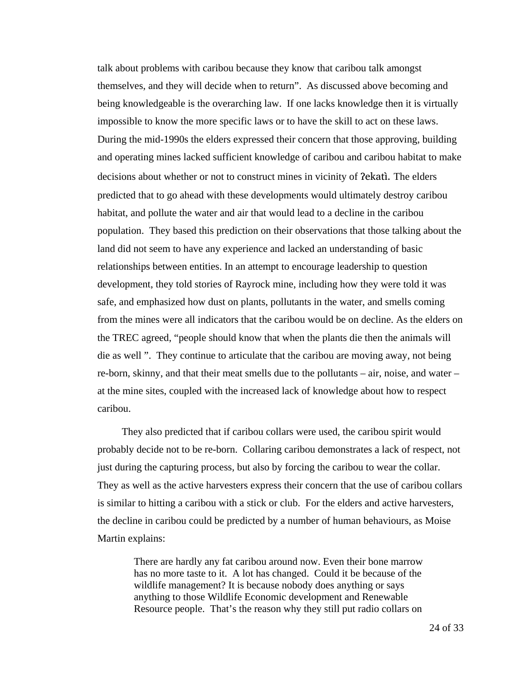talk about problems with caribou because they know that caribou talk amongst themselves, and they will decide when to return". As discussed above becoming and being knowledgeable is the overarching law. If one lacks knowledge then it is virtually impossible to know the more specific laws or to have the skill to act on these laws. During the mid-1990s the elders expressed their concern that those approving, building and operating mines lacked sufficient knowledge of caribou and caribou habitat to make decisions about whether or not to construct mines in vicinity of **Pekati.** The elders predicted that to go ahead with these developments would ultimately destroy caribou habitat, and pollute the water and air that would lead to a decline in the caribou population. They based this prediction on their observations that those talking about the land did not seem to have any experience and lacked an understanding of basic relationships between entities. In an attempt to encourage leadership to question development, they told stories of Rayrock mine, including how they were told it was safe, and emphasized how dust on plants, pollutants in the water, and smells coming from the mines were all indicators that the caribou would be on decline. As the elders on the TREC agreed, "people should know that when the plants die then the animals will die as well ". They continue to articulate that the caribou are moving away, not being re-born, skinny, and that their meat smells due to the pollutants – air, noise, and water – at the mine sites, coupled with the increased lack of knowledge about how to respect caribou.

They also predicted that if caribou collars were used, the caribou spirit would probably decide not to be re-born. Collaring caribou demonstrates a lack of respect, not just during the capturing process, but also by forcing the caribou to wear the collar. They as well as the active harvesters express their concern that the use of caribou collars is similar to hitting a caribou with a stick or club. For the elders and active harvesters, the decline in caribou could be predicted by a number of human behaviours, as Moise Martin explains:

> There are hardly any fat caribou around now. Even their bone marrow has no more taste to it. A lot has changed. Could it be because of the wildlife management? It is because nobody does anything or says anything to those Wildlife Economic development and Renewable Resource people. That's the reason why they still put radio collars on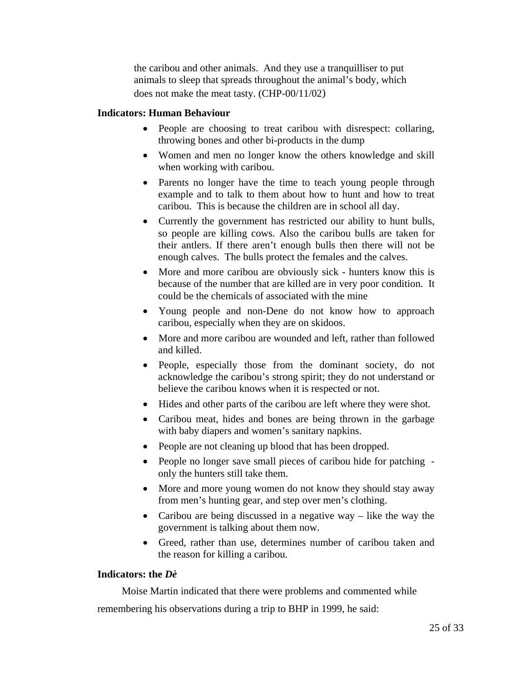the caribou and other animals. And they use a tranquilliser to put animals to sleep that spreads throughout the animal's body, which does not make the meat tasty. (CHP-00/11/02)

#### **Indicators: Human Behaviour**

- People are choosing to treat caribou with disrespect: collaring, throwing bones and other bi-products in the dump
- Women and men no longer know the others knowledge and skill when working with caribou.
- Parents no longer have the time to teach young people through example and to talk to them about how to hunt and how to treat caribou. This is because the children are in school all day.
- Currently the government has restricted our ability to hunt bulls, so people are killing cows. Also the caribou bulls are taken for their antlers. If there aren't enough bulls then there will not be enough calves. The bulls protect the females and the calves.
- More and more caribou are obviously sick hunters know this is because of the number that are killed are in very poor condition. It could be the chemicals of associated with the mine
- Young people and non-Dene do not know how to approach caribou, especially when they are on skidoos.
- More and more caribou are wounded and left, rather than followed and killed.
- People, especially those from the dominant society, do not acknowledge the caribou's strong spirit; they do not understand or believe the caribou knows when it is respected or not.
- Hides and other parts of the caribou are left where they were shot.
- Caribou meat, hides and bones are being thrown in the garbage with baby diapers and women's sanitary napkins.
- People are not cleaning up blood that has been dropped.
- People no longer save small pieces of caribou hide for patching only the hunters still take them.
- More and more young women do not know they should stay away from men's hunting gear, and step over men's clothing.
- Caribou are being discussed in a negative way like the way the government is talking about them now.
- Greed, rather than use, determines number of caribou taken and the reason for killing a caribou.

#### **Indicators: the** *Dè*

Moise Martin indicated that there were problems and commented while remembering his observations during a trip to BHP in 1999, he said: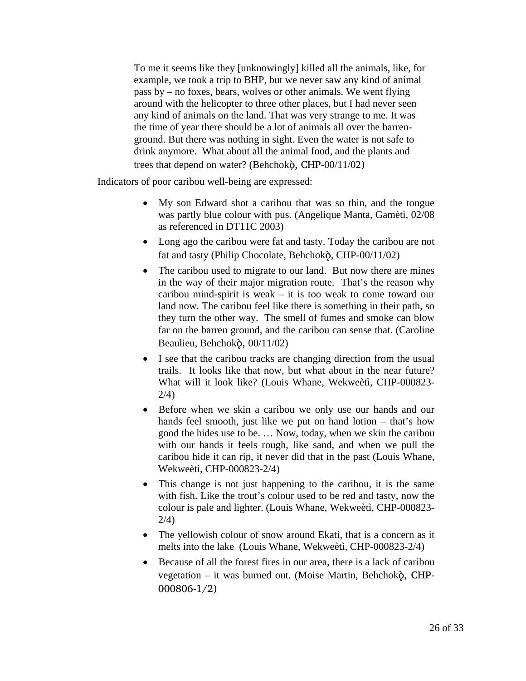To me it seems like they [unknowingly] killed all the animals, like, for example, we took a trip to BHP, but we never saw any kind of animal pass by – no foxes, bears, wolves or other animals. We went flying around with the helicopter to three other places, but I had never seen any kind of animals on the land. That was very strange to me. It was the time of year there should be a lot of animals all over the barrenground. But there was nothing in sight. Even the water is not safe to drink anymore. What about all the animal food, and the plants and trees that depend on water? (Behchokö, CHP-00/11/02)

Indicators of poor caribou well-being are expressed:

- My son Edward shot a caribou that was so thin, and the tongue was partly blue colour with pus. (Angelique Manta, Gamètì, 02/08 as referenced in DT11C 2003)
- Long ago the caribou were fat and tasty. Today the caribou are not fat and tasty (Philip Chocolate, Behchokò, CHP-00/11/02)
- The caribou used to migrate to our land. But now there are mines in the way of their major migration route. That's the reason why caribou mind-spirit is weak – it is too weak to come toward our land now. The caribou feel like there is something in their path, so they turn the other way. The smell of fumes and smoke can blow far on the barren ground, and the caribou can sense that. (Caroline Beaulieu, Behchokö, 00/11/02)
- I see that the caribou tracks are changing direction from the usual trails. It looks like that now, but what about in the near future? What will it look like? (Louis Whane, Wekweètì, CHP-000823- 2/4)
- Before when we skin a caribou we only use our hands and our hands feel smooth, just like we put on hand lotion – that's how good the hides use to be. … Now, today, when we skin the caribou with our hands it feels rough, like sand, and when we pull the caribou hide it can rip, it never did that in the past (Louis Whane, Wekweètì, CHP-000823-2/4)
- This change is not just happening to the caribou, it is the same with fish. Like the trout's colour used to be red and tasty, now the colour is pale and lighter. (Louis Whane, Wekweètì, CHP-000823- 2/4)
- The yellowish colour of snow around Ekati, that is a concern as it melts into the lake (Louis Whane, Wekweètì, CHP-000823-2/4)
- Because of all the forest fires in our area, there is a lack of caribou vegetation – it was burned out. (Moise Martin, Behchokò, CHP-000806-1/2)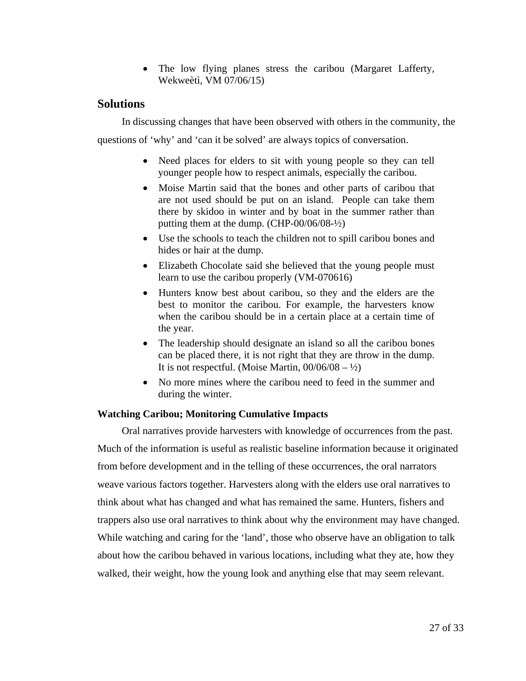• The low flying planes stress the caribou (Margaret Lafferty, Wekweètì, VM 07/06/15)

#### **Solutions**

In discussing changes that have been observed with others in the community, the

questions of 'why' and 'can it be solved' are always topics of conversation.

- Need places for elders to sit with young people so they can tell younger people how to respect animals, especially the caribou.
- Moise Martin said that the bones and other parts of caribou that are not used should be put on an island. People can take them there by skidoo in winter and by boat in the summer rather than putting them at the dump. (CHP-00/06/08-½)
- Use the schools to teach the children not to spill caribou bones and hides or hair at the dump.
- Elizabeth Chocolate said she believed that the young people must learn to use the caribou properly (VM-070616)
- Hunters know best about caribou, so they and the elders are the best to monitor the caribou. For example, the harvesters know when the caribou should be in a certain place at a certain time of the year.
- The leadership should designate an island so all the caribou bones can be placed there, it is not right that they are throw in the dump. It is not respectful. (Moise Martin,  $00/06/08 - \frac{1}{2}$ )
- No more mines where the caribou need to feed in the summer and during the winter.

#### **Watching Caribou; Monitoring Cumulative Impacts**

Oral narratives provide harvesters with knowledge of occurrences from the past. Much of the information is useful as realistic baseline information because it originated from before development and in the telling of these occurrences, the oral narrators weave various factors together. Harvesters along with the elders use oral narratives to think about what has changed and what has remained the same. Hunters, fishers and trappers also use oral narratives to think about why the environment may have changed. While watching and caring for the 'land', those who observe have an obligation to talk about how the caribou behaved in various locations, including what they ate, how they walked, their weight, how the young look and anything else that may seem relevant.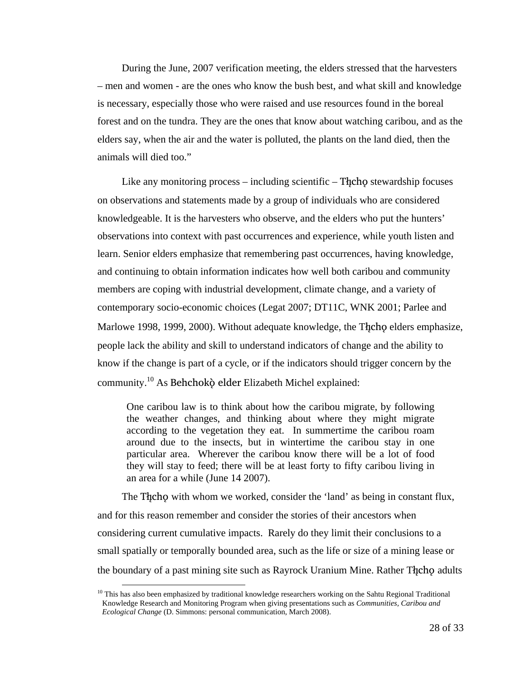During the June, 2007 verification meeting, the elders stressed that the harvesters – men and women - are the ones who know the bush best, and what skill and knowledge is necessary, especially those who were raised and use resources found in the boreal forest and on the tundra. They are the ones that know about watching caribou, and as the elders say, when the air and the water is polluted, the plants on the land died, then the animals will died too."

Like any monitoring process – including scientific – The h $\varphi$  stewardship focuses on observations and statements made by a group of individuals who are considered knowledgeable. It is the harvesters who observe, and the elders who put the hunters' observations into context with past occurrences and experience, while youth listen and learn. Senior elders emphasize that remembering past occurrences, having knowledge, and continuing to obtain information indicates how well both caribou and community members are coping with industrial development, climate change, and a variety of contemporary socio-economic choices (Legat 2007; DT11C, WNK 2001; Parlee and Marlowe 1998, 1999, 2000). Without adequate knowledge, the Theop elders emphasize, people lack the ability and skill to understand indicators of change and the ability to know if the change is part of a cycle, or if the indicators should trigger concern by the community.10 As Behchokö elder Elizabeth Michel explained:

One caribou law is to think about how the caribou migrate, by following the weather changes, and thinking about where they might migrate according to the vegetation they eat. In summertime the caribou roam around due to the insects, but in wintertime the caribou stay in one particular area. Wherever the caribou know there will be a lot of food they will stay to feed; there will be at least forty to fifty caribou living in an area for a while (June 14 2007).

The The cho with whom we worked, consider the 'land' as being in constant flux, and for this reason remember and consider the stories of their ancestors when considering current cumulative impacts. Rarely do they limit their conclusions to a small spatially or temporally bounded area, such as the life or size of a mining lease or the boundary of a past mining site such as Rayrock Uranium Mine. Rather The cho adults

 $10$  This has also been emphasized by traditional knowledge researchers working on the Sahtu Regional Traditional Knowledge Research and Monitoring Program when giving presentations such as *Communities, Caribou and Ecological Change* (D. Simmons: personal communication, March 2008).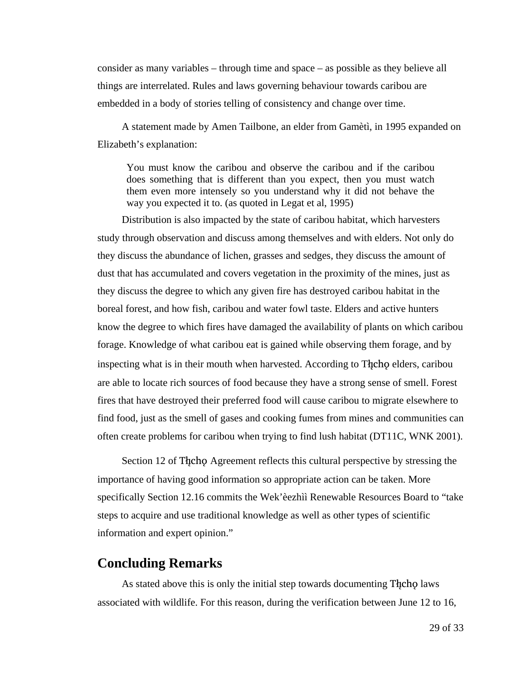consider as many variables – through time and space – as possible as they believe all things are interrelated. Rules and laws governing behaviour towards caribou are embedded in a body of stories telling of consistency and change over time.

A statement made by Amen Tailbone, an elder from Gamètì, in 1995 expanded on Elizabeth's explanation:

You must know the caribou and observe the caribou and if the caribou does something that is different than you expect, then you must watch them even more intensely so you understand why it did not behave the way you expected it to. (as quoted in Legat et al, 1995)

Distribution is also impacted by the state of caribou habitat, which harvesters study through observation and discuss among themselves and with elders. Not only do they discuss the abundance of lichen, grasses and sedges, they discuss the amount of dust that has accumulated and covers vegetation in the proximity of the mines, just as they discuss the degree to which any given fire has destroyed caribou habitat in the boreal forest, and how fish, caribou and water fowl taste. Elders and active hunters know the degree to which fires have damaged the availability of plants on which caribou forage. Knowledge of what caribou eat is gained while observing them forage, and by inspecting what is in their mouth when harvested. According to The colders, caribou are able to locate rich sources of food because they have a strong sense of smell. Forest fires that have destroyed their preferred food will cause caribou to migrate elsewhere to find food, just as the smell of gases and cooking fumes from mines and communities can often create problems for caribou when trying to find lush habitat (DT11C, WNK 2001).

Section 12 of Theoreg Agreement reflects this cultural perspective by stressing the importance of having good information so appropriate action can be taken. More specifically Section 12.16 commits the Wek'èezhìì Renewable Resources Board to "take steps to acquire and use traditional knowledge as well as other types of scientific information and expert opinion."

### **Concluding Remarks**

As stated above this is only the initial step towards documenting The change laws associated with wildlife. For this reason, during the verification between June 12 to 16,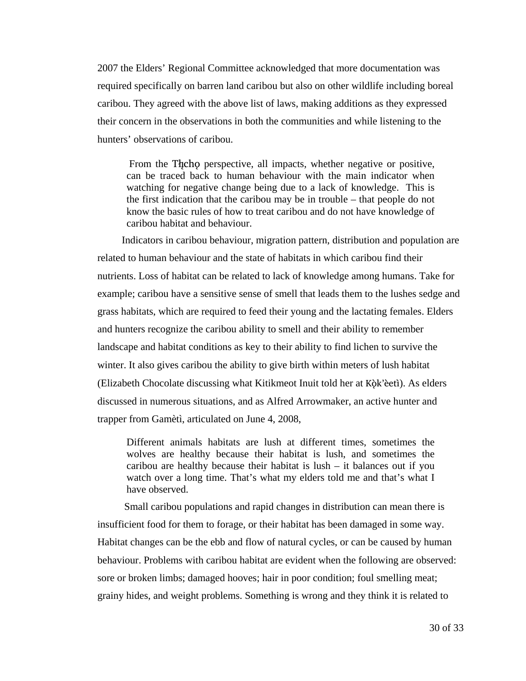2007 the Elders' Regional Committee acknowledged that more documentation was required specifically on barren land caribou but also on other wildlife including boreal caribou. They agreed with the above list of laws, making additions as they expressed their concern in the observations in both the communities and while listening to the hunters' observations of caribou.

From the Theore perspective, all impacts, whether negative or positive, can be traced back to human behaviour with the main indicator when watching for negative change being due to a lack of knowledge. This is the first indication that the caribou may be in trouble – that people do not know the basic rules of how to treat caribou and do not have knowledge of caribou habitat and behaviour.

Indicators in caribou behaviour, migration pattern, distribution and population are related to human behaviour and the state of habitats in which caribou find their nutrients. Loss of habitat can be related to lack of knowledge among humans. Take for example; caribou have a sensitive sense of smell that leads them to the lushes sedge and grass habitats, which are required to feed their young and the lactating females. Elders and hunters recognize the caribou ability to smell and their ability to remember landscape and habitat conditions as key to their ability to find lichen to survive the winter. It also gives caribou the ability to give birth within meters of lush habitat (Elizabeth Chocolate discussing what Kitikmeot Inuit told her at Kök'èetì). As elders discussed in numerous situations, and as Alfred Arrowmaker, an active hunter and trapper from Gamètì, articulated on June 4, 2008,

Different animals habitats are lush at different times, sometimes the wolves are healthy because their habitat is lush, and sometimes the caribou are healthy because their habitat is lush – it balances out if you watch over a long time. That's what my elders told me and that's what I have observed.

 Small caribou populations and rapid changes in distribution can mean there is insufficient food for them to forage, or their habitat has been damaged in some way. Habitat changes can be the ebb and flow of natural cycles, or can be caused by human behaviour. Problems with caribou habitat are evident when the following are observed: sore or broken limbs; damaged hooves; hair in poor condition; foul smelling meat; grainy hides, and weight problems. Something is wrong and they think it is related to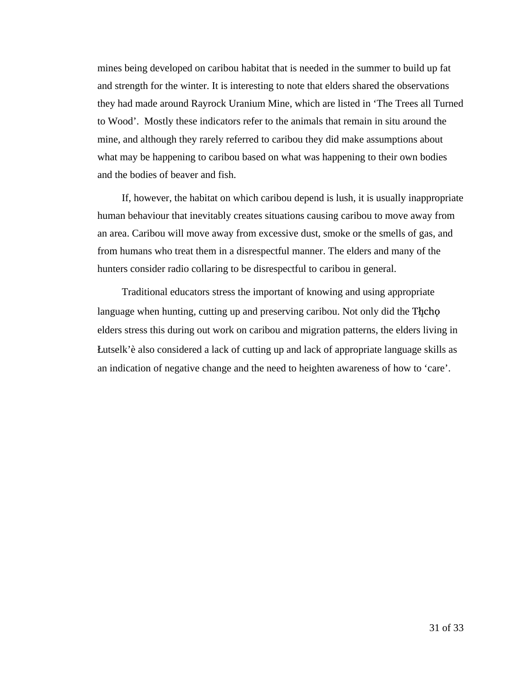mines being developed on caribou habitat that is needed in the summer to build up fat and strength for the winter. It is interesting to note that elders shared the observations they had made around Rayrock Uranium Mine, which are listed in 'The Trees all Turned to Wood'. Mostly these indicators refer to the animals that remain in situ around the mine, and although they rarely referred to caribou they did make assumptions about what may be happening to caribou based on what was happening to their own bodies and the bodies of beaver and fish.

If, however, the habitat on which caribou depend is lush, it is usually inappropriate human behaviour that inevitably creates situations causing caribou to move away from an area. Caribou will move away from excessive dust, smoke or the smells of gas, and from humans who treat them in a disrespectful manner. The elders and many of the hunters consider radio collaring to be disrespectful to caribou in general.

Traditional educators stress the important of knowing and using appropriate language when hunting, cutting up and preserving caribou. Not only did the Thcho elders stress this during out work on caribou and migration patterns, the elders living in Åutselk'è also considered a lack of cutting up and lack of appropriate language skills as an indication of negative change and the need to heighten awareness of how to 'care'.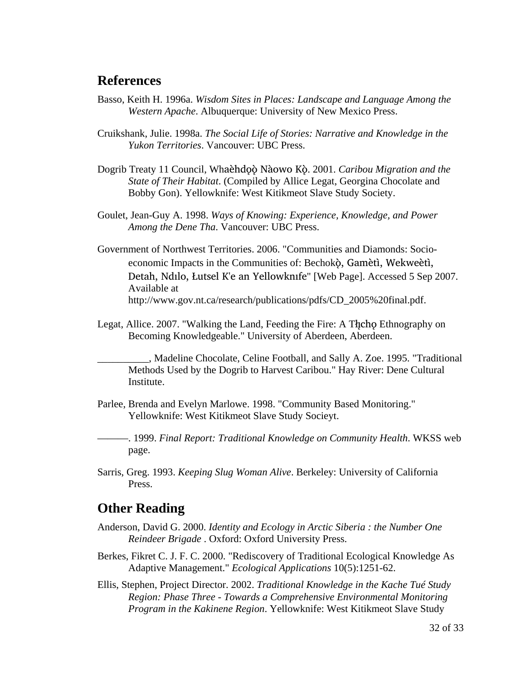## **References**

- Basso, Keith H. 1996a. *Wisdom Sites in Places: Landscape and Language Among the Western Apache*. Albuquerque: University of New Mexico Press.
- Cruikshank, Julie. 1998a. *The Social Life of Stories: Narrative and Knowledge in the Yukon Territories*. Vancouver: UBC Press.
- Dogrib Treaty 11 Council, Whaèhdọò Nàowo Kò. 2001. Caribou Migration and the *State of Their Habitat*. (Compiled by Allice Legat, Georgina Chocolate and Bobby Gon). Yellowknife: West Kitikmeot Slave Study Society.
- Goulet, Jean-Guy A. 1998. *Ways of Knowing: Experience, Knowledge, and Power Among the Dene Tha*. Vancouver: UBC Press.
- Government of Northwest Territories. 2006. "Communities and Diamonds: Socioeconomic Impacts in the Communities of: Bechokö, Gamètì, Wekweètì, Detah, Ndilo, Łutsel K'e an Yellowknife" [Web Page]. Accessed 5 Sep 2007. Available at http://www.gov.nt.ca/research/publications/pdfs/CD\_2005%20final.pdf.
- Legat, Allice. 2007. "Walking the Land, Feeding the Fire: A Thicho Ethnography on Becoming Knowledgeable." University of Aberdeen, Aberdeen.

\_\_\_\_\_\_\_\_\_\_, Madeline Chocolate, Celine Football, and Sally A. Zoe. 1995. "Traditional Methods Used by the Dogrib to Harvest Caribou." Hay River: Dene Cultural Institute.

Parlee, Brenda and Evelyn Marlowe. 1998. "Community Based Monitoring." Yellowknife: West Kitikmeot Slave Study Socieyt.

———. 1999. *Final Report: Traditional Knowledge on Community Health*. WKSS web page.

Sarris, Greg. 1993. *Keeping Slug Woman Alive*. Berkeley: University of California Press.

# **Other Reading**

- Anderson, David G. 2000. *Identity and Ecology in Arctic Siberia : the Number One Reindeer Brigade* . Oxford: Oxford University Press.
- Berkes, Fikret C. J. F. C. 2000. "Rediscovery of Traditional Ecological Knowledge As Adaptive Management." *Ecological Applications* 10(5):1251-62.
- Ellis, Stephen, Project Director. 2002. *Traditional Knowledge in the Kache Tué Study Region: Phase Three - Towards a Comprehensive Environmental Monitoring Program in the Kakinene Region*. Yellowknife: West Kitikmeot Slave Study